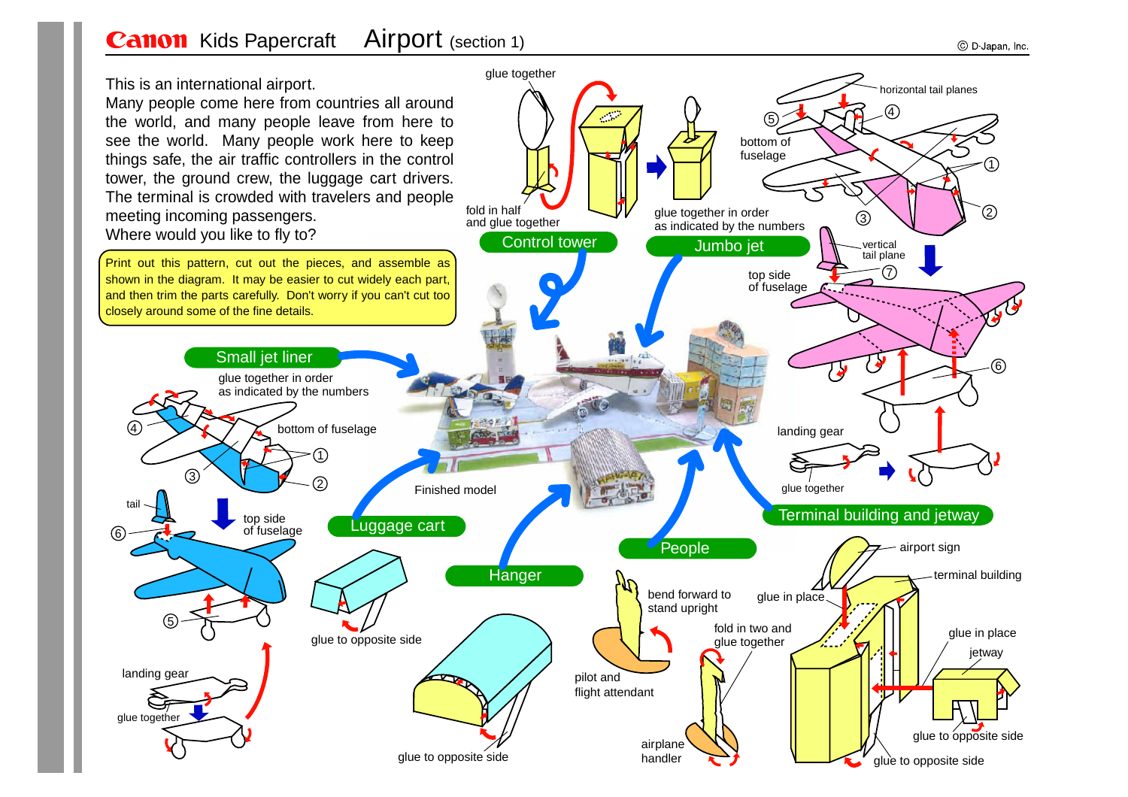## **Canon** Kids Papercraft Airport (section 1)

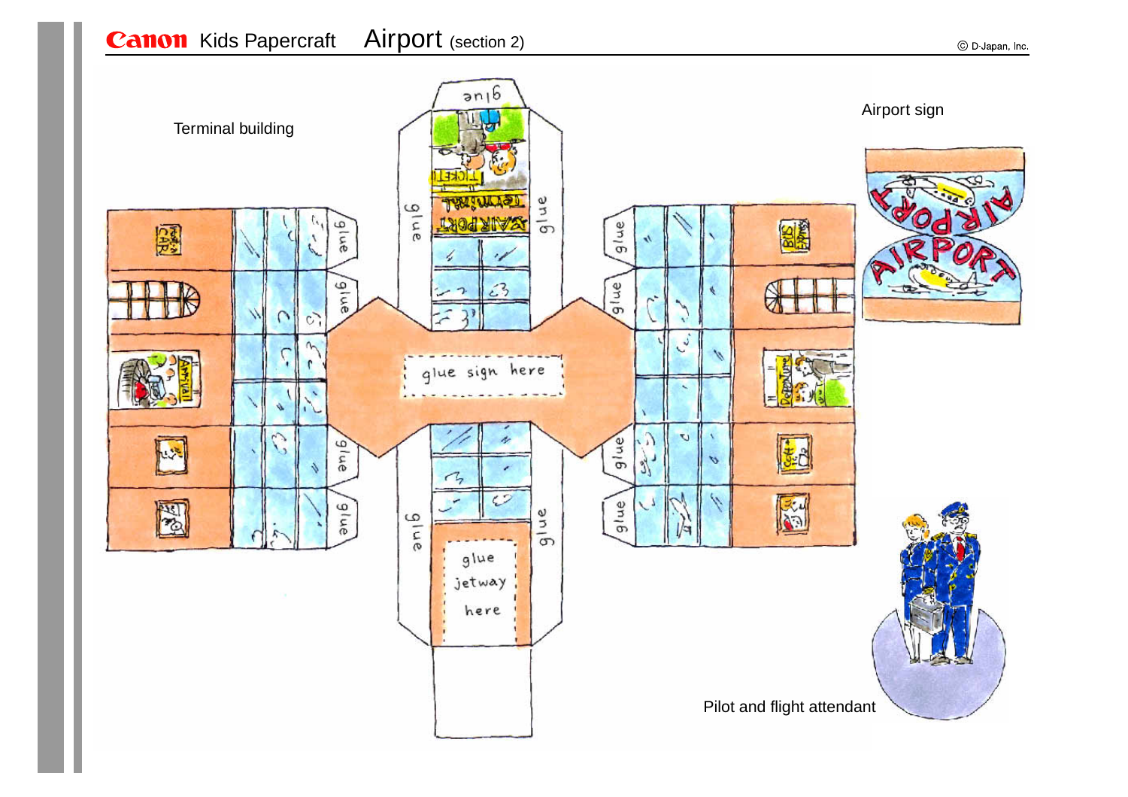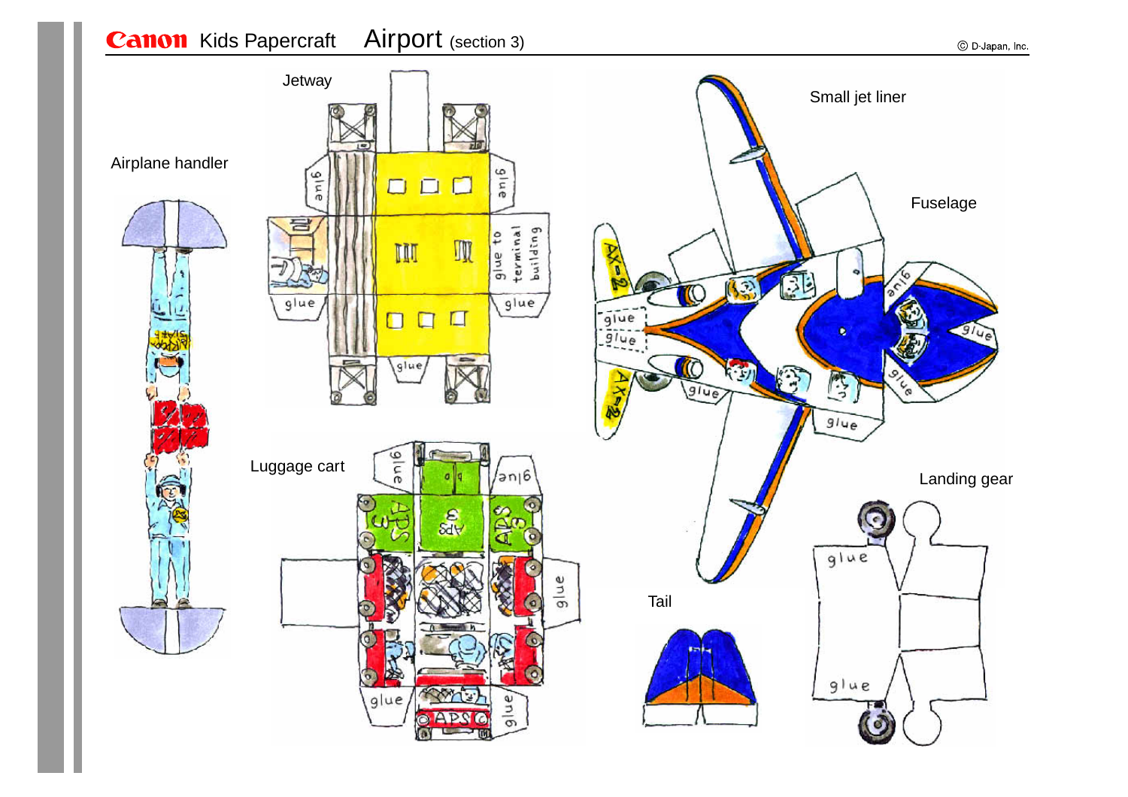## **Canon** Kids Papercraft Airport (section 3)

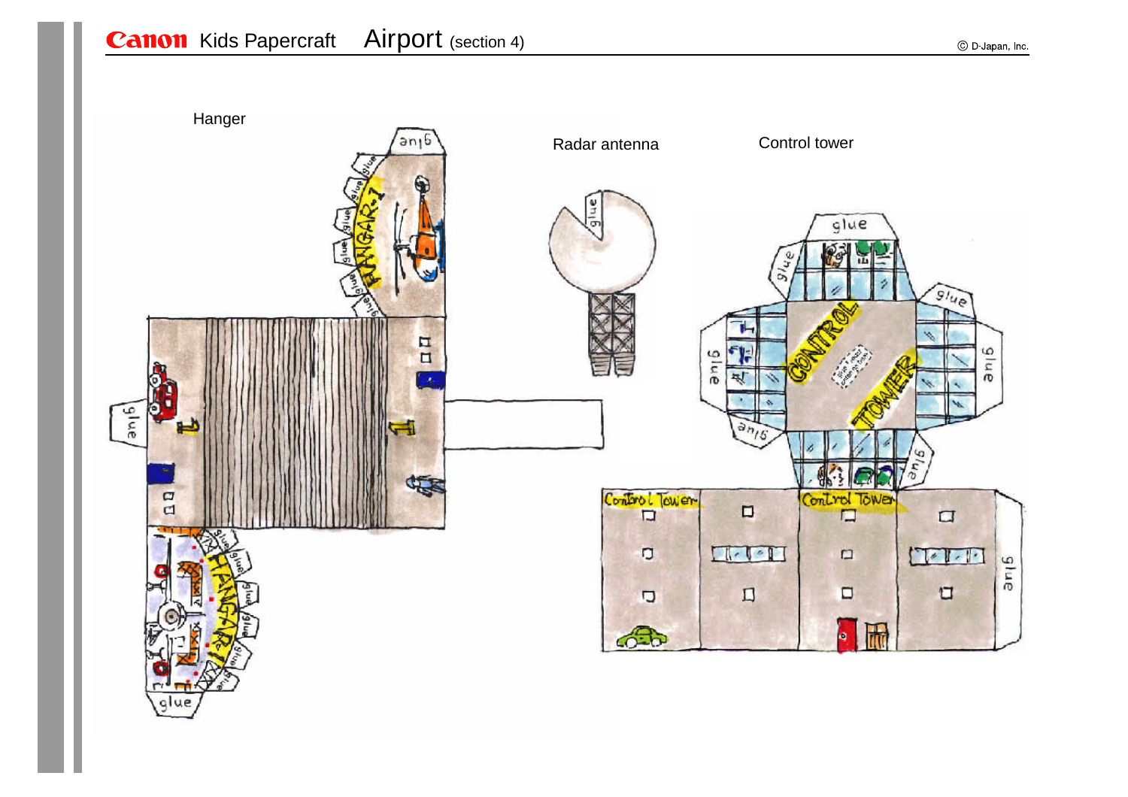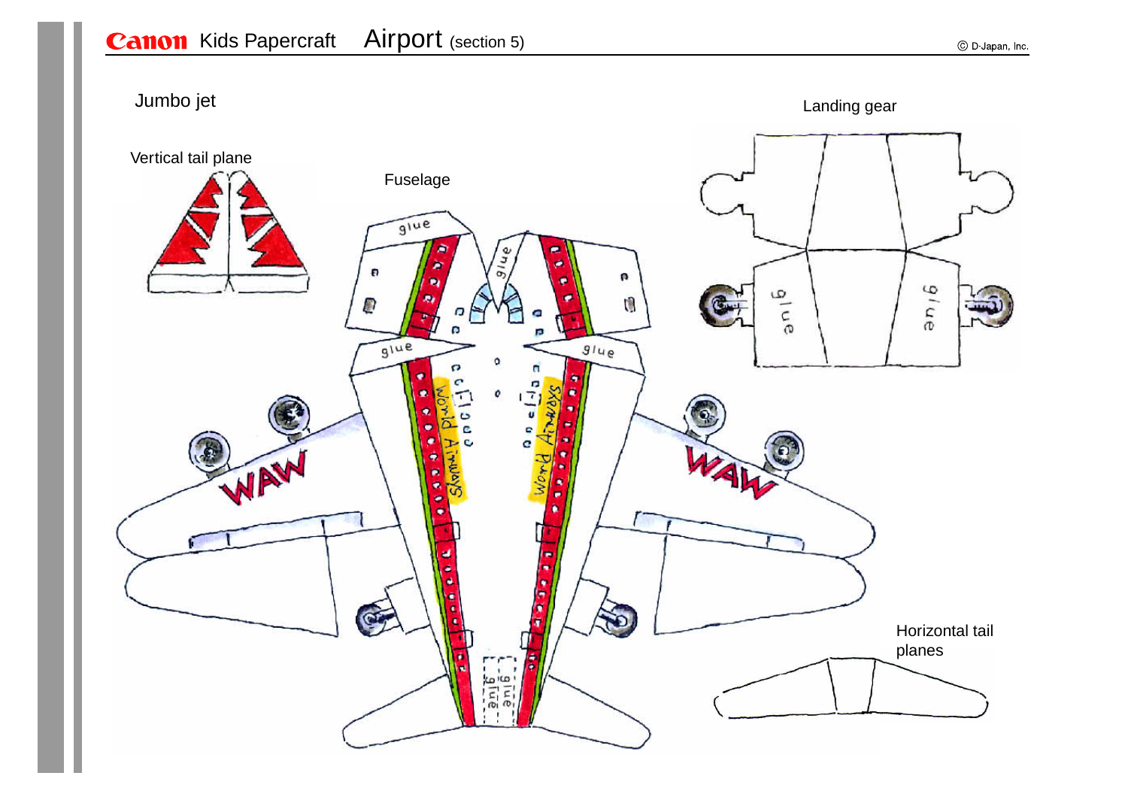